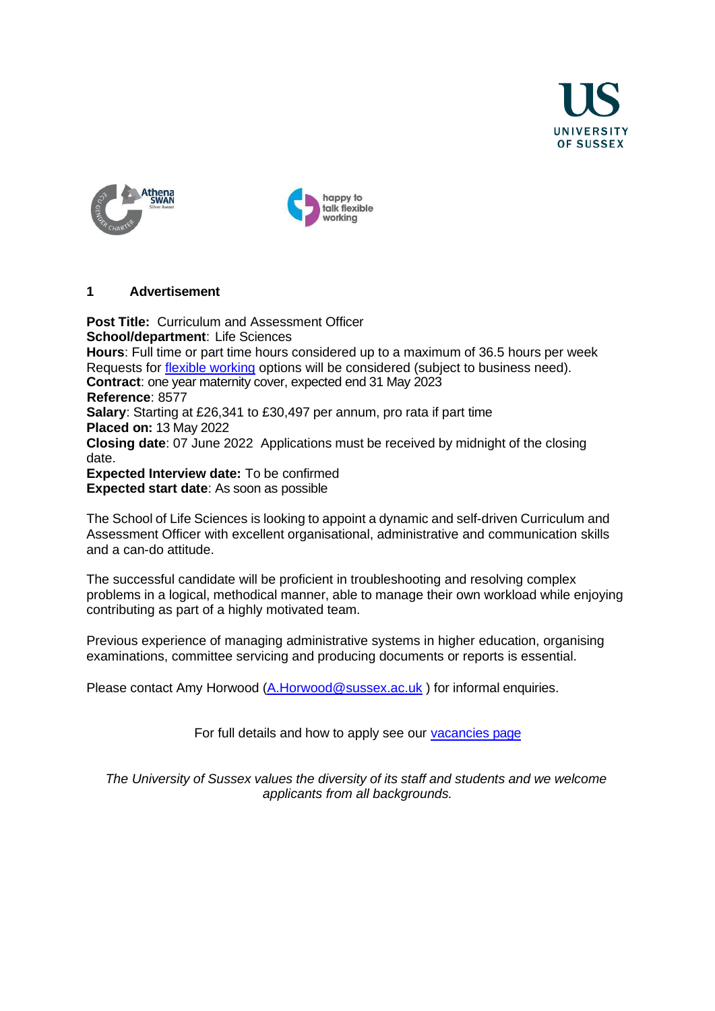





### **1 Advertisement**

**Post Title:** Curriculum and Assessment Officer **School/department**: Life Sciences **Hours**: Full time or part time hours considered up to a maximum of 36.5 hours per week Requests for [flexible working](https://www.sussex.ac.uk/humanresources/business-services/flexible-working) options will be considered (subject to business need). **Contract**: one year maternity cover, expected end 31 May 2023  **Reference**: 8577 **Salary**: Starting at £26,341 to £30,497 per annum, pro rata if part time **Placed on:** 13 May 2022 **Closing date**: 07 June 2022 Applications must be received by midnight of the closing date. **Expected Interview date:** To be confirmed **Expected start date**: As soon as possible

The School of Life Sciences is looking to appoint a dynamic and self-driven Curriculum and Assessment Officer with excellent organisational, administrative and communication skills and a can-do attitude.

The successful candidate will be proficient in troubleshooting and resolving complex problems in a logical, methodical manner, able to manage their own workload while enjoying contributing as part of a highly motivated team.

Previous experience of managing administrative systems in higher education, organising examinations, committee servicing and producing documents or reports is essential.

Please contact Amy Horwood [\(A.Horwood@sussex.ac.uk](mailto:A.Horwood@sussex.ac.uk)) for informal enquiries.

For full details and how to apply see our [vacancies](http://www.sussex.ac.uk/about/jobs) page

*The University of Sussex values the diversity of its staff and students and we welcome applicants from all backgrounds.*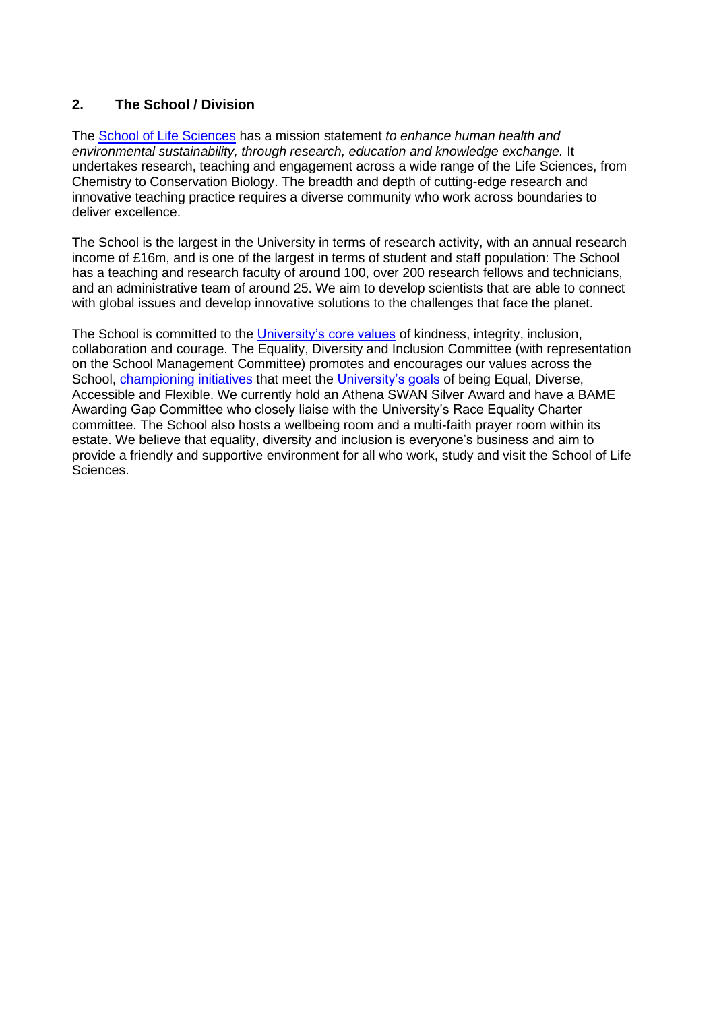# **2. The School / Division**

The [School of Life Sciences](http://www.sussex.ac.uk/lifesci/) has a mission statement *to enhance human health and environmental sustainability, through research, education and knowledge exchange.* It undertakes research, teaching and engagement across a wide range of the Life Sciences, from Chemistry to Conservation Biology. The breadth and depth of cutting-edge research and innovative teaching practice requires a diverse community who work across boundaries to deliver excellence.

The School is the largest in the University in terms of research activity, with an annual research income of £16m, and is one of the largest in terms of student and staff population: The School has a teaching and research faculty of around 100, over 200 research fellows and technicians. and an administrative team of around 25. We aim to develop scientists that are able to connect with global issues and develop innovative solutions to the challenges that face the planet.

The School is committed to the [University's core values](https://www.sussex.ac.uk/strategy/) of kindness, integrity, inclusion, collaboration and courage. The Equality, Diversity and Inclusion Committee (with representation on the School Management Committee) promotes and encourages our values across the School, [championing initiatives](http://www.sussex.ac.uk/lifesci/equality-diversity-and-inclusion/) that meet the [University's goals](https://www.sussex.ac.uk/equalities/strategy) of being Equal, Diverse, Accessible and Flexible. We currently hold an Athena SWAN Silver Award and have a BAME Awarding Gap Committee who closely liaise with the University's Race Equality Charter committee. The School also hosts a wellbeing room and a multi-faith prayer room within its estate. We believe that equality, diversity and inclusion is everyone's business and aim to provide a friendly and supportive environment for all who work, study and visit the School of Life Sciences.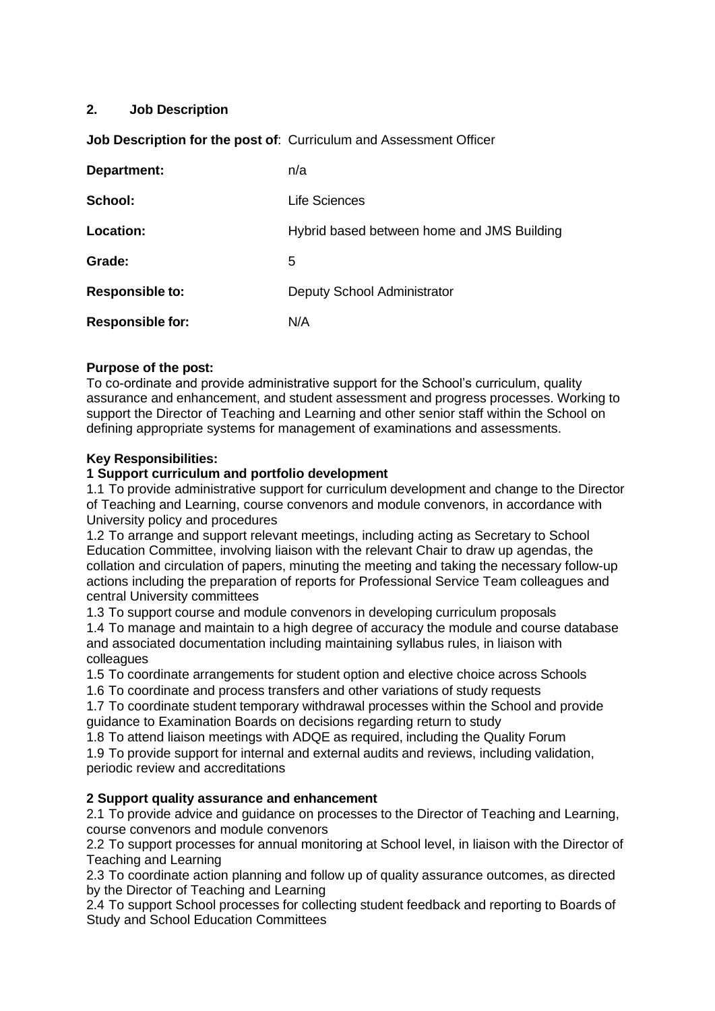# **2. Job Description**

# **Job Description for the post of**: Curriculum and Assessment Officer

| Department:             | n/a                                        |
|-------------------------|--------------------------------------------|
| School:                 | Life Sciences                              |
| Location:               | Hybrid based between home and JMS Building |
| Grade:                  | 5                                          |
| <b>Responsible to:</b>  | Deputy School Administrator                |
| <b>Responsible for:</b> | N/A                                        |

# **Purpose of the post:**

To co-ordinate and provide administrative support for the School's curriculum, quality assurance and enhancement, and student assessment and progress processes. Working to support the Director of Teaching and Learning and other senior staff within the School on defining appropriate systems for management of examinations and assessments.

## **Key Responsibilities:**

## **1 Support curriculum and portfolio development**

1.1 To provide administrative support for curriculum development and change to the Director of Teaching and Learning, course convenors and module convenors, in accordance with University policy and procedures

1.2 To arrange and support relevant meetings, including acting as Secretary to School Education Committee, involving liaison with the relevant Chair to draw up agendas, the collation and circulation of papers, minuting the meeting and taking the necessary follow-up actions including the preparation of reports for Professional Service Team colleagues and central University committees

1.3 To support course and module convenors in developing curriculum proposals 1.4 To manage and maintain to a high degree of accuracy the module and course database and associated documentation including maintaining syllabus rules, in liaison with colleagues

1.5 To coordinate arrangements for student option and elective choice across Schools

1.6 To coordinate and process transfers and other variations of study requests

1.7 To coordinate student temporary withdrawal processes within the School and provide guidance to Examination Boards on decisions regarding return to study

1.8 To attend liaison meetings with ADQE as required, including the Quality Forum

1.9 To provide support for internal and external audits and reviews, including validation, periodic review and accreditations

## **2 Support quality assurance and enhancement**

2.1 To provide advice and guidance on processes to the Director of Teaching and Learning, course convenors and module convenors

2.2 To support processes for annual monitoring at School level, in liaison with the Director of Teaching and Learning

2.3 To coordinate action planning and follow up of quality assurance outcomes, as directed by the Director of Teaching and Learning

2.4 To support School processes for collecting student feedback and reporting to Boards of Study and School Education Committees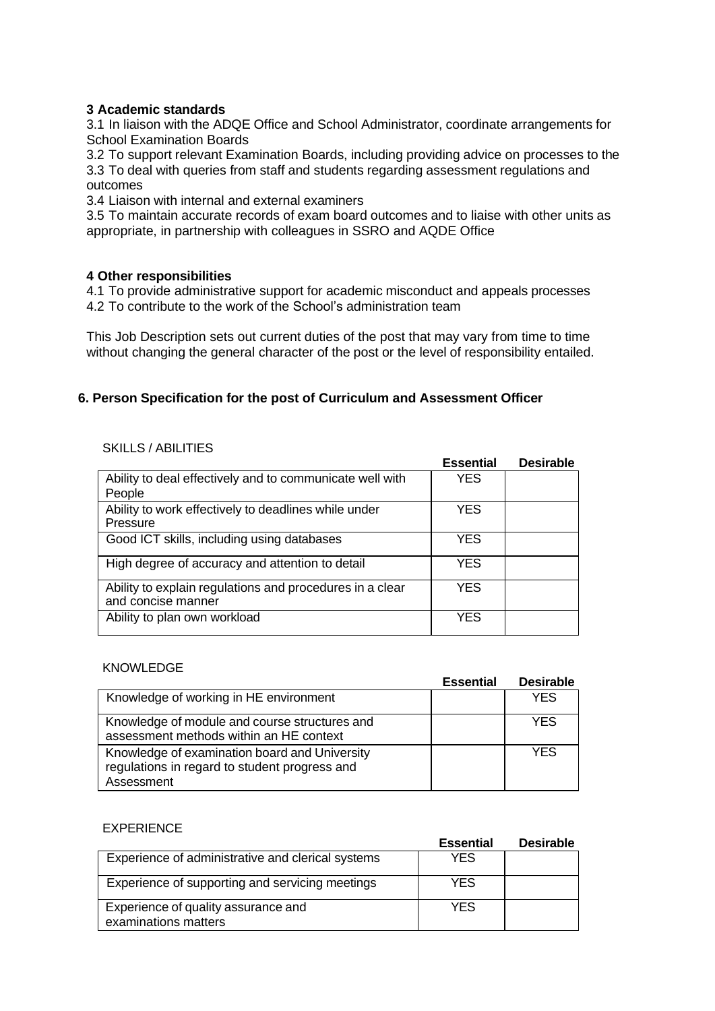### **3 Academic standards**

3.1 In liaison with the ADQE Office and School Administrator, coordinate arrangements for School Examination Boards

3.2 To support relevant Examination Boards, including providing advice on processes to the 3.3 To deal with queries from staff and students regarding assessment regulations and outcomes

3.4 Liaison with internal and external examiners

3.5 To maintain accurate records of exam board outcomes and to liaise with other units as appropriate, in partnership with colleagues in SSRO and AQDE Office

### **4 Other responsibilities**

4.1 To provide administrative support for academic misconduct and appeals processes 4.2 To contribute to the work of the School's administration team

This Job Description sets out current duties of the post that may vary from time to time without changing the general character of the post or the level of responsibility entailed.

# **6. Person Specification for the post of Curriculum and Assessment Officer**

#### SKILLS / ABILITIES

|                                                                                | <b>Essential</b> | <b>Desirable</b> |
|--------------------------------------------------------------------------------|------------------|------------------|
| Ability to deal effectively and to communicate well with<br>People             | <b>YES</b>       |                  |
| Ability to work effectively to deadlines while under<br>Pressure               | <b>YES</b>       |                  |
| Good ICT skills, including using databases                                     | YES              |                  |
| High degree of accuracy and attention to detail                                | <b>YES</b>       |                  |
| Ability to explain regulations and procedures in a clear<br>and concise manner | <b>YES</b>       |                  |
| Ability to plan own workload                                                   | YES              |                  |

#### KNOWLEDGE

|                                                                                                              | <b>Essential</b> | <b>Desirable</b> |
|--------------------------------------------------------------------------------------------------------------|------------------|------------------|
| Knowledge of working in HE environment                                                                       |                  | YES              |
| Knowledge of module and course structures and<br>assessment methods within an HE context                     |                  | YFS              |
| Knowledge of examination board and University<br>regulations in regard to student progress and<br>Assessment |                  | YFS              |

#### EXPERIENCE

|                                                             | <b>Essential</b> | <b>Desirable</b> |
|-------------------------------------------------------------|------------------|------------------|
| Experience of administrative and clerical systems           | <b>YES</b>       |                  |
| Experience of supporting and servicing meetings             | <b>YES</b>       |                  |
| Experience of quality assurance and<br>examinations matters | <b>YES</b>       |                  |